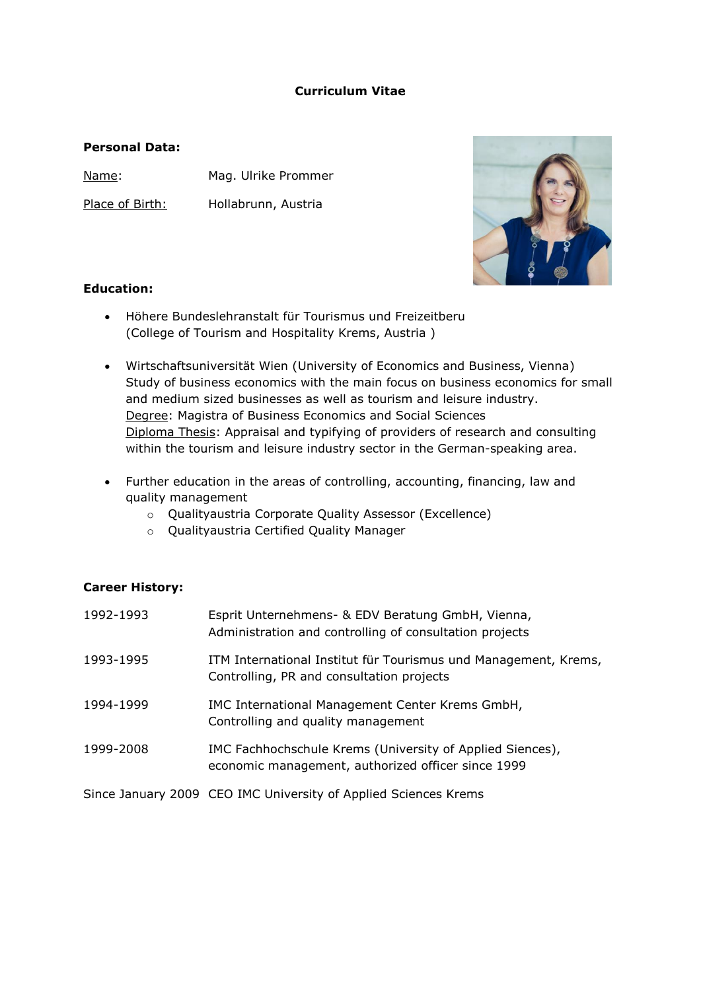# **Curriculum Vitae**

# **Personal Data:**

Name: Mag. Ulrike Prommer

Place of Birth: Hollabrunn, Austria



### **Education:**

- $\bullet$  Höhere Bundeslehranstalt für Tourismus und Freizeitberu (College of Tourism and Hospitality Krems, Austria )
- Wirtschaftsuniversität Wien (University of Economics and Business, Vienna) Study of business economics with the main focus on business economics for small and medium sized businesses as well as tourism and leisure industry. Degree: Magistra of Business Economics and Social Sciences Diploma Thesis: Appraisal and typifying of providers of research and consulting within the tourism and leisure industry sector in the German-speaking area.
- Further education in the areas of controlling, accounting, financing, law and quality management
	- o Qualityaustria Corporate Quality Assessor (Excellence)
	- o Qualityaustria Certified Quality Manager

### **Career History:**

| 1992-1993 | Esprit Unternehmens- & EDV Beratung GmbH, Vienna,<br>Administration and controlling of consultation projects    |
|-----------|-----------------------------------------------------------------------------------------------------------------|
| 1993-1995 | ITM International Institut für Tourismus und Management, Krems,<br>Controlling, PR and consultation projects    |
| 1994-1999 | IMC International Management Center Krems GmbH,<br>Controlling and quality management                           |
| 1999-2008 | IMC Fachhochschule Krems (University of Applied Siences),<br>economic management, authorized officer since 1999 |

Since January 2009 CEO IMC University of Applied Sciences Krems